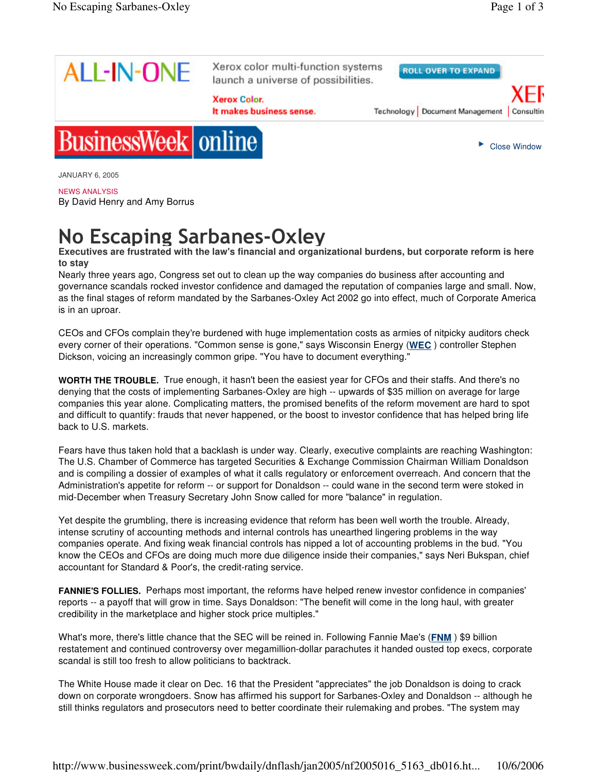

Xerox color multi-function systems launch a universe of possibilities.

**Xerox Color.** 

It makes business sense.

**ROLL OVER TO EXPAND** 

Technology | Document Management | Consultin



Close Window



JANUARY 6, 2005

## NEWS ANALYSIS

By David Henry and Amy Borrus

## No Escaping Sarbanes-Oxley

**Executives are frustrated with the law's financial and organizational burdens, but corporate reform is here to stay**

Nearly three years ago, Congress set out to clean up the way companies do business after accounting and governance scandals rocked investor confidence and damaged the reputation of companies large and small. Now, as the final stages of reform mandated by the Sarbanes-Oxley Act 2002 go into effect, much of Corporate America is in an uproar.

CEOs and CFOs complain they're burdened with huge implementation costs as armies of nitpicky auditors check every corner of their operations. "Common sense is gone," says Wisconsin Energy (**WEC** ) controller Stephen Dickson, voicing an increasingly common gripe. "You have to document everything."

**WORTH THE TROUBLE.** True enough, it hasn't been the easiest year for CFOs and their staffs. And there's no denying that the costs of implementing Sarbanes-Oxley are high -- upwards of \$35 million on average for large companies this year alone. Complicating matters, the promised benefits of the reform movement are hard to spot and difficult to quantify: frauds that never happened, or the boost to investor confidence that has helped bring life back to U.S. markets.

Fears have thus taken hold that a backlash is under way. Clearly, executive complaints are reaching Washington: The U.S. Chamber of Commerce has targeted Securities & Exchange Commission Chairman William Donaldson and is compiling a dossier of examples of what it calls regulatory or enforcement overreach. And concern that the Administration's appetite for reform -- or support for Donaldson -- could wane in the second term were stoked in mid-December when Treasury Secretary John Snow called for more "balance" in regulation.

Yet despite the grumbling, there is increasing evidence that reform has been well worth the trouble. Already, intense scrutiny of accounting methods and internal controls has unearthed lingering problems in the way companies operate. And fixing weak financial controls has nipped a lot of accounting problems in the bud. "You know the CEOs and CFOs are doing much more due diligence inside their companies," says Neri Bukspan, chief accountant for Standard & Poor's, the credit-rating service.

**FANNIE'S FOLLIES.** Perhaps most important, the reforms have helped renew investor confidence in companies' reports -- a payoff that will grow in time. Says Donaldson: "The benefit will come in the long haul, with greater credibility in the marketplace and higher stock price multiples."

What's more, there's little chance that the SEC will be reined in. Following Fannie Mae's (FNM) \$9 billion restatement and continued controversy over megamillion-dollar parachutes it handed ousted top execs, corporate scandal is still too fresh to allow politicians to backtrack.

The White House made it clear on Dec. 16 that the President "appreciates" the job Donaldson is doing to crack down on corporate wrongdoers. Snow has affirmed his support for Sarbanes-Oxley and Donaldson -- although he still thinks regulators and prosecutors need to better coordinate their rulemaking and probes. "The system may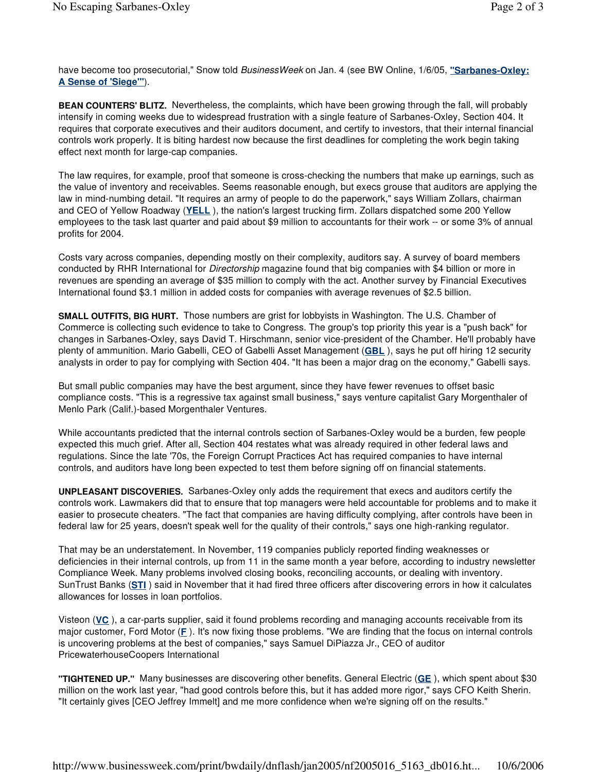have become too prosecutorial," Snow told *BusinessWeek* on Jan. 4 (see BW Online, 1/6/05, **"Sarbanes-Oxley: A Sense of 'Siege'"**).

**BEAN COUNTERS' BLITZ.** Nevertheless, the complaints, which have been growing through the fall, will probably intensify in coming weeks due to widespread frustration with a single feature of Sarbanes-Oxley, Section 404. It requires that corporate executives and their auditors document, and certify to investors, that their internal financial controls work properly. It is biting hardest now because the first deadlines for completing the work begin taking effect next month for large-cap companies.

The law requires, for example, proof that someone is cross-checking the numbers that make up earnings, such as the value of inventory and receivables. Seems reasonable enough, but execs grouse that auditors are applying the law in mind-numbing detail. "It requires an army of people to do the paperwork," says William Zollars, chairman and CEO of Yellow Roadway (**YELL** ), the nation's largest trucking firm. Zollars dispatched some 200 Yellow employees to the task last quarter and paid about \$9 million to accountants for their work -- or some 3% of annual profits for 2004.

Costs vary across companies, depending mostly on their complexity, auditors say. A survey of board members conducted by RHR International for *Directorship* magazine found that big companies with \$4 billion or more in revenues are spending an average of \$35 million to comply with the act. Another survey by Financial Executives International found \$3.1 million in added costs for companies with average revenues of \$2.5 billion.

**SMALL OUTFITS, BIG HURT.** Those numbers are grist for lobbyists in Washington. The U.S. Chamber of Commerce is collecting such evidence to take to Congress. The group's top priority this year is a "push back" for changes in Sarbanes-Oxley, says David T. Hirschmann, senior vice-president of the Chamber. He'll probably have plenty of ammunition. Mario Gabelli, CEO of Gabelli Asset Management (**GBL** ), says he put off hiring 12 security analysts in order to pay for complying with Section 404. "It has been a major drag on the economy," Gabelli says.

But small public companies may have the best argument, since they have fewer revenues to offset basic compliance costs. "This is a regressive tax against small business," says venture capitalist Gary Morgenthaler of Menlo Park (Calif.)-based Morgenthaler Ventures.

While accountants predicted that the internal controls section of Sarbanes-Oxley would be a burden, few people expected this much grief. After all, Section 404 restates what was already required in other federal laws and regulations. Since the late '70s, the Foreign Corrupt Practices Act has required companies to have internal controls, and auditors have long been expected to test them before signing off on financial statements.

**UNPLEASANT DISCOVERIES.** Sarbanes-Oxley only adds the requirement that execs and auditors certify the controls work. Lawmakers did that to ensure that top managers were held accountable for problems and to make it easier to prosecute cheaters. "The fact that companies are having difficulty complying, after controls have been in federal law for 25 years, doesn't speak well for the quality of their controls," says one high-ranking regulator.

That may be an understatement. In November, 119 companies publicly reported finding weaknesses or deficiencies in their internal controls, up from 11 in the same month a year before, according to industry newsletter Compliance Week. Many problems involved closing books, reconciling accounts, or dealing with inventory. SunTrust Banks (**STI** ) said in November that it had fired three officers after discovering errors in how it calculates allowances for losses in loan portfolios.

Visteon (**VC** ), a car-parts supplier, said it found problems recording and managing accounts receivable from its major customer, Ford Motor (**F** ). It's now fixing those problems. "We are finding that the focus on internal controls is uncovering problems at the best of companies," says Samuel DiPiazza Jr., CEO of auditor PricewaterhouseCoopers International

**"TIGHTENED UP."** Many businesses are discovering other benefits. General Electric (**GE** ), which spent about \$30 million on the work last year, "had good controls before this, but it has added more rigor," says CFO Keith Sherin. "It certainly gives [CEO Jeffrey Immelt] and me more confidence when we're signing off on the results."